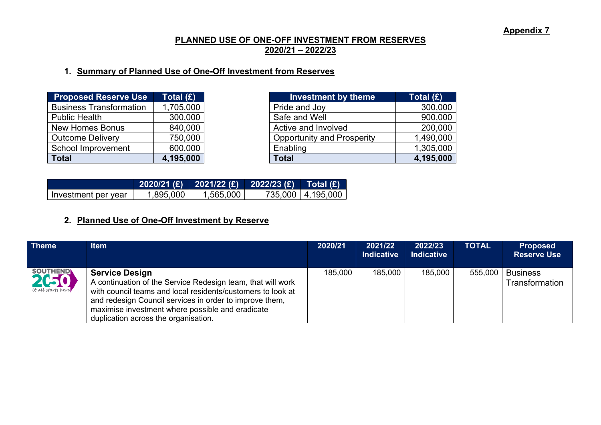### **PLANNED USE OF ONE-OFF INVESTMENT FROM RESERVES 2020/21 – 2022/23**

## **1. Summary of Planned Use of One-Off Investment from Reserves**

| <b>Proposed Reserve Use</b>    | Total (£) |
|--------------------------------|-----------|
| <b>Business Transformation</b> | 1,705,000 |
| <b>Public Health</b>           | 300,000   |
| <b>New Homes Bonus</b>         | 840,000   |
| <b>Outcome Delivery</b>        | 750,000   |
| School Improvement             | 600,000   |
| <b>Total</b>                   | 4,195,000 |

| <b>Proposed Reserve Use</b>    | Total (£) | <b>Investment by theme</b>        | Total $(E)$ |
|--------------------------------|-----------|-----------------------------------|-------------|
| <b>Business Transformation</b> | 1,705,000 | Pride and Joy                     | 300,000     |
| Public Health                  | 300,000   | Safe and Well                     | 900,000     |
| New Homes Bonus                | 840,000   | Active and Involved               | 200,000     |
| <b>Outcome Delivery</b>        | 750,000   | <b>Opportunity and Prosperity</b> | 1,490,000   |
| School Improvement             | 600,000   | Enabling                          | 1,305,000   |
| Total                          | 4,195,000 | <b>Total</b>                      | 4,195,000   |

| Investment per year | 1,895,000 | 1,565,000 | 735,000   4,195,000 |
|---------------------|-----------|-----------|---------------------|

# **2. Planned Use of One-Off Investment by Reserve**

| <b>Theme</b>                          | <b>Item</b>                                                                                                                                                                                                                                                                                                | 2020/21 | 2021/22<br><b>Indicative</b> | 2022/23<br><b>Indicative</b> | <b>TOTAL</b> | <b>Proposed</b><br><b>Reserve Use</b> |
|---------------------------------------|------------------------------------------------------------------------------------------------------------------------------------------------------------------------------------------------------------------------------------------------------------------------------------------------------------|---------|------------------------------|------------------------------|--------------|---------------------------------------|
| SOUTHEND<br><i>Le all starts here</i> | <b>Service Design</b><br>A continuation of the Service Redesign team, that will work<br>with council teams and local residents/customers to look at<br>and redesign Council services in order to improve them,<br>maximise investment where possible and eradicate<br>duplication across the organisation. | 185,000 | 185,000                      | 185,000                      | 555,000      | <b>Business</b><br>Transformation     |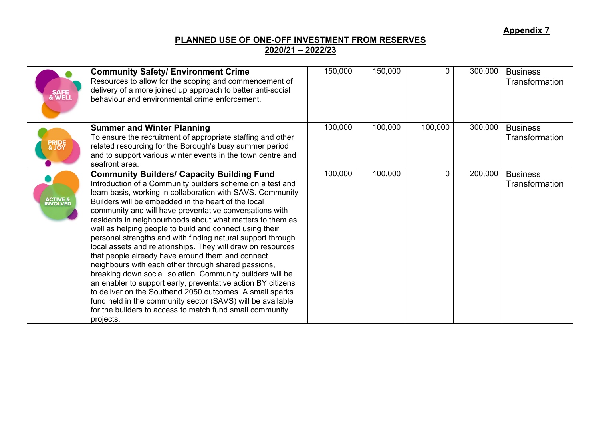### **PLANNED USE OF ONE-OFF INVESTMENT FROM RESERVES 2020/21 – 2022/23**

| SAFE<br>& WELL                   | <b>Community Safety/ Environment Crime</b><br>Resources to allow for the scoping and commencement of<br>delivery of a more joined up approach to better anti-social<br>behaviour and environmental crime enforcement.                                                                                                                                                                                                                                                                                                                                                                                                                                                                                                                                                                                                                                                                                                                                                                            | 150,000 | 150,000 | 0       | 300,000 | <b>Business</b><br>Transformation |
|----------------------------------|--------------------------------------------------------------------------------------------------------------------------------------------------------------------------------------------------------------------------------------------------------------------------------------------------------------------------------------------------------------------------------------------------------------------------------------------------------------------------------------------------------------------------------------------------------------------------------------------------------------------------------------------------------------------------------------------------------------------------------------------------------------------------------------------------------------------------------------------------------------------------------------------------------------------------------------------------------------------------------------------------|---------|---------|---------|---------|-----------------------------------|
| <b>PRIDE</b><br>& JOY            | <b>Summer and Winter Planning</b><br>To ensure the recruitment of appropriate staffing and other<br>related resourcing for the Borough's busy summer period<br>and to support various winter events in the town centre and<br>seafront area.                                                                                                                                                                                                                                                                                                                                                                                                                                                                                                                                                                                                                                                                                                                                                     | 100,000 | 100,000 | 100,000 | 300,000 | <b>Business</b><br>Transformation |
| <b>ACTIVE &amp;<br/>INVOLVED</b> | <b>Community Builders/ Capacity Building Fund</b><br>Introduction of a Community builders scheme on a test and<br>learn basis, working in collaboration with SAVS. Community<br>Builders will be embedded in the heart of the local<br>community and will have preventative conversations with<br>residents in neighbourhoods about what matters to them as<br>well as helping people to build and connect using their<br>personal strengths and with finding natural support through<br>local assets and relationships. They will draw on resources<br>that people already have around them and connect<br>neighbours with each other through shared passions,<br>breaking down social isolation. Community builders will be<br>an enabler to support early, preventative action BY citizens<br>to deliver on the Southend 2050 outcomes. A small sparks<br>fund held in the community sector (SAVS) will be available<br>for the builders to access to match fund small community<br>projects. | 100,000 | 100,000 | 0       | 200,000 | <b>Business</b><br>Transformation |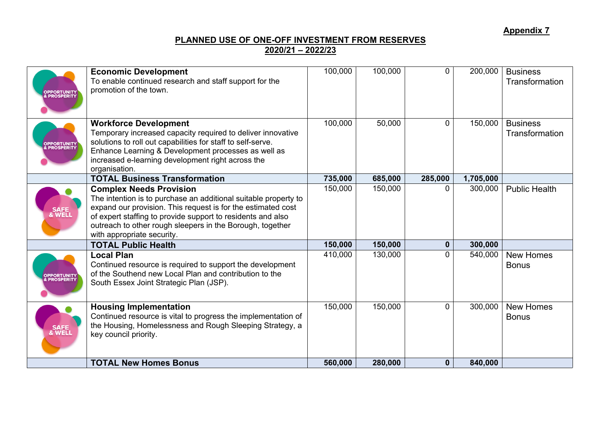### **PLANNED USE OF ONE-OFF INVESTMENT FROM RESERVES 2020/21 – 2022/23**

| <b>PPORTUNITY</b><br>PROSPERITY         | <b>Economic Development</b><br>To enable continued research and staff support for the<br>promotion of the town.                                                                                                                                                                                                             | 100,000 | 100,000 | 0            | 200,000   | <b>Business</b><br>Transformation |
|-----------------------------------------|-----------------------------------------------------------------------------------------------------------------------------------------------------------------------------------------------------------------------------------------------------------------------------------------------------------------------------|---------|---------|--------------|-----------|-----------------------------------|
| <b>OPPORTUNITY<br/>&amp; PROSPERITY</b> | <b>Workforce Development</b><br>Temporary increased capacity required to deliver innovative<br>solutions to roll out capabilities for staff to self-serve.<br>Enhance Learning & Development processes as well as<br>increased e-learning development right across the<br>organisation.                                     | 100,000 | 50,000  | 0            | 150,000   | <b>Business</b><br>Transformation |
|                                         | <b>TOTAL Business Transformation</b>                                                                                                                                                                                                                                                                                        | 735,000 | 685,000 | 285,000      | 1,705,000 |                                   |
| SAFE<br>& WELL                          | <b>Complex Needs Provision</b><br>The intention is to purchase an additional suitable property to<br>expand our provision. This request is for the estimated cost<br>of expert staffing to provide support to residents and also<br>outreach to other rough sleepers in the Borough, together<br>with appropriate security. | 150,000 | 150,000 | $\Omega$     | 300,000   | <b>Public Health</b>              |
|                                         | <b>TOTAL Public Health</b>                                                                                                                                                                                                                                                                                                  | 150,000 | 150,000 | $\mathbf{0}$ | 300,000   |                                   |
| <b>PPORTUNITY</b><br>PROSPERITY         | <b>Local Plan</b><br>Continued resource is required to support the development<br>of the Southend new Local Plan and contribution to the<br>South Essex Joint Strategic Plan (JSP).                                                                                                                                         | 410,000 | 130,000 | $\Omega$     | 540,000   | <b>New Homes</b><br><b>Bonus</b>  |
| SAFE<br>& WELL                          | <b>Housing Implementation</b><br>Continued resource is vital to progress the implementation of<br>the Housing, Homelessness and Rough Sleeping Strategy, a<br>key council priority.                                                                                                                                         | 150,000 | 150,000 | $\mathbf 0$  | 300,000   | <b>New Homes</b><br><b>Bonus</b>  |
|                                         | <b>TOTAL New Homes Bonus</b>                                                                                                                                                                                                                                                                                                | 560,000 | 280,000 | $\mathbf 0$  | 840,000   |                                   |